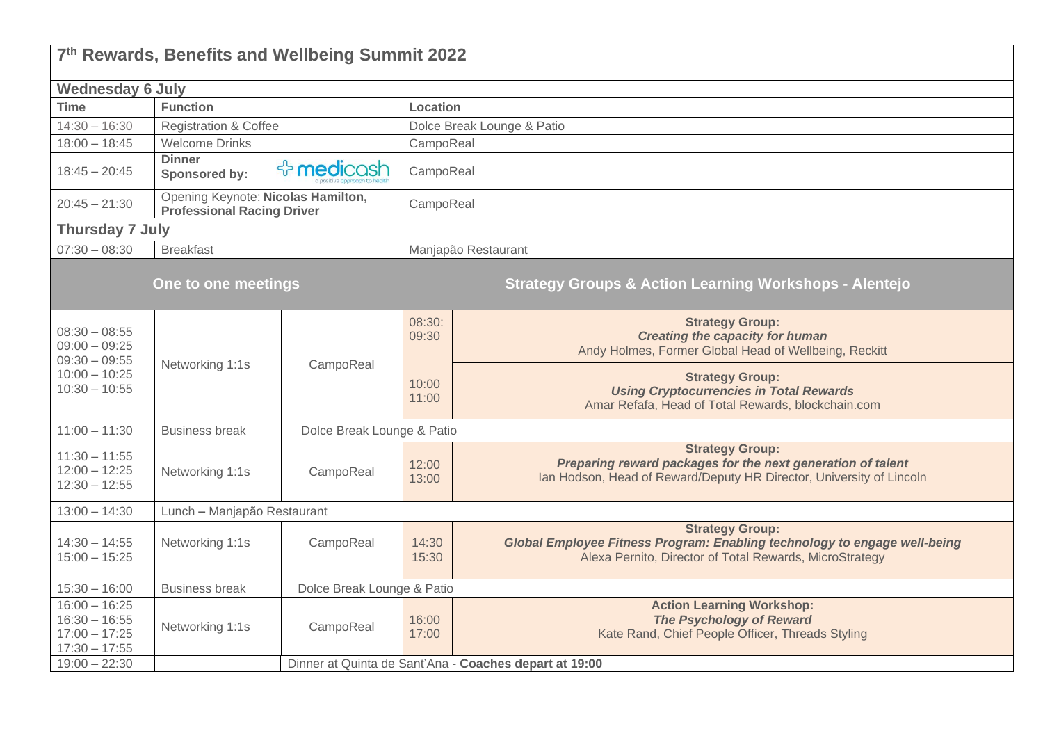| 7th Rewards, Benefits and Wellbeing Summit 2022                                             |                                                                         |                                                        |                            |                                                                                                                                                                |  |  |  |  |
|---------------------------------------------------------------------------------------------|-------------------------------------------------------------------------|--------------------------------------------------------|----------------------------|----------------------------------------------------------------------------------------------------------------------------------------------------------------|--|--|--|--|
| <b>Wednesday 6 July</b>                                                                     |                                                                         |                                                        |                            |                                                                                                                                                                |  |  |  |  |
| <b>Time</b>                                                                                 | <b>Function</b>                                                         |                                                        | Location                   |                                                                                                                                                                |  |  |  |  |
| $14:30 - 16:30$                                                                             | <b>Registration &amp; Coffee</b>                                        |                                                        | Dolce Break Lounge & Patio |                                                                                                                                                                |  |  |  |  |
| $18:00 - 18:45$                                                                             | <b>Welcome Drinks</b>                                                   |                                                        | CampoReal                  |                                                                                                                                                                |  |  |  |  |
| $18:45 - 20:45$                                                                             | <b>Dinner</b><br>Sponsored by:                                          | ☆ medicash                                             |                            | CampoReal                                                                                                                                                      |  |  |  |  |
| $20:45 - 21:30$                                                                             | Opening Keynote: Nicolas Hamilton,<br><b>Professional Racing Driver</b> |                                                        | CampoReal                  |                                                                                                                                                                |  |  |  |  |
| <b>Thursday 7 July</b>                                                                      |                                                                         |                                                        |                            |                                                                                                                                                                |  |  |  |  |
| $07:30 - 08:30$                                                                             | <b>Breakfast</b>                                                        |                                                        |                            | Manjapão Restaurant                                                                                                                                            |  |  |  |  |
|                                                                                             | One to one meetings                                                     |                                                        |                            | <b>Strategy Groups &amp; Action Learning Workshops - Alentejo</b>                                                                                              |  |  |  |  |
| $08:30 - 08:55$<br>$09:00 - 09:25$<br>$09:30 - 09:55$<br>$10:00 - 10:25$<br>$10:30 - 10:55$ | Networking 1:1s                                                         | CampoReal                                              | 08:30:<br>09:30            | <b>Strategy Group:</b><br><b>Creating the capacity for human</b><br>Andy Holmes, Former Global Head of Wellbeing, Reckitt                                      |  |  |  |  |
|                                                                                             |                                                                         |                                                        | 10:00<br>11:00             | <b>Strategy Group:</b><br><b>Using Cryptocurrencies in Total Rewards</b><br>Amar Refafa, Head of Total Rewards, blockchain.com                                 |  |  |  |  |
| $11:00 - 11:30$                                                                             | <b>Business break</b>                                                   | Dolce Break Lounge & Patio                             |                            |                                                                                                                                                                |  |  |  |  |
| $11:30 - 11:55$<br>$12:00 - 12:25$<br>$12:30 - 12:55$                                       | Networking 1:1s                                                         | CampoReal                                              | 12:00<br>13:00             | <b>Strategy Group:</b><br>Preparing reward packages for the next generation of talent<br>Ian Hodson, Head of Reward/Deputy HR Director, University of Lincoln  |  |  |  |  |
| $13:00 - 14:30$                                                                             | Lunch - Manjapão Restaurant                                             |                                                        |                            |                                                                                                                                                                |  |  |  |  |
| $14:30 - 14:55$<br>$15:00 - 15:25$                                                          | Networking 1:1s                                                         | CampoReal                                              | 14:30<br>15:30             | <b>Strategy Group:</b><br>Global Employee Fitness Program: Enabling technology to engage well-being<br>Alexa Pernito, Director of Total Rewards, MicroStrategy |  |  |  |  |
| $15:30 - 16:00$                                                                             | <b>Business break</b>                                                   | Dolce Break Lounge & Patio                             |                            |                                                                                                                                                                |  |  |  |  |
| $16:00 - 16:25$<br>$16:30 - 16:55$<br>$17:00 - 17:25$<br>$17:30 - 17:55$                    | Networking 1:1s                                                         | CampoReal                                              | 16:00<br>17:00             | <b>Action Learning Workshop:</b><br><b>The Psychology of Reward</b><br>Kate Rand, Chief People Officer, Threads Styling                                        |  |  |  |  |
| $19:00 - 22:30$                                                                             |                                                                         | Dinner at Quinta de Sant'Ana - Coaches depart at 19:00 |                            |                                                                                                                                                                |  |  |  |  |